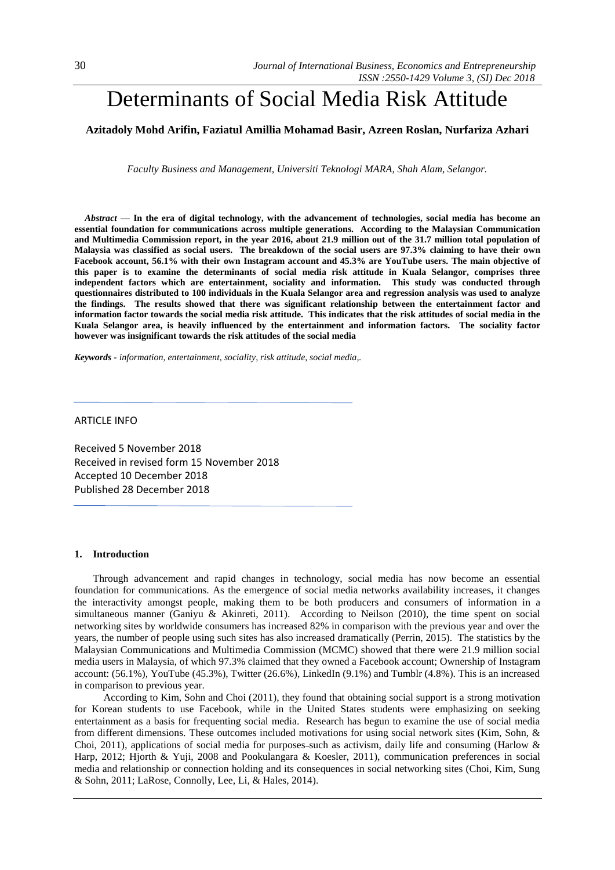# Determinants of Social Media Risk Attitude

# **Azitadoly Mohd Arifin, Faziatul Amillia Mohamad Basir, Azreen Roslan, Nurfariza Azhari**

*Faculty Business and Management, Universiti Teknologi MARA, Shah Alam, Selangor.*

*Abstract —* **In the era of digital technology, with the advancement of technologies, social media has become an essential foundation for communications across multiple generations. According to the Malaysian Communication and Multimedia Commission report, in the year 2016, about 21.9 million out of the 31.7 million total population of Malaysia was classified as social users. The breakdown of the social users are 97.3% claiming to have their own Facebook account, 56.1% with their own Instagram account and 45.3% are YouTube users. The main objective of this paper is to examine the determinants of social media risk attitude in Kuala Selangor, comprises three independent factors which are entertainment, sociality and information. This study was conducted through questionnaires distributed to 100 individuals in the Kuala Selangor area and regression analysis was used to analyze the findings. The results showed that there was significant relationship between the entertainment factor and information factor towards the social media risk attitude. This indicates that the risk attitudes of social media in the Kuala Selangor area, is heavily influenced by the entertainment and information factors. The sociality factor however was insignificant towards the risk attitudes of the social media**

*Keywords - information, entertainment, sociality, risk attitude, social media,.*

## ARTICLE INFO

Received 5 November 2018 Received in revised form 15 November 2018 Accepted 10 December 2018 Published 28 December 2018

#### **1. Introduction**

Through advancement and rapid changes in technology, social media has now become an essential foundation for communications. As the emergence of social media networks availability increases, it changes the interactivity amongst people, making them to be both producers and consumers of information in a simultaneous manner (Ganiyu & Akinreti, 2011). According to Neilson (2010), the time spent on social networking sites by worldwide consumers has increased 82% in comparison with the previous year and over the years, the number of people using such sites has also increased dramatically (Perrin, 2015). The statistics by the Malaysian Communications and Multimedia Commission (MCMC) showed that there were 21.9 million social media users in Malaysia, of which 97.3% claimed that they owned a Facebook account; Ownership of Instagram account: (56.1%), YouTube (45.3%), Twitter (26.6%), LinkedIn (9.1%) and Tumblr (4.8%). This is an increased in comparison to previous year.

According to Kim, Sohn and Choi (2011), they found that obtaining social support is a strong motivation for Korean students to use Facebook, while in the United States students were emphasizing on seeking entertainment as a basis for frequenting social media. Research has begun to examine the use of social media from different dimensions. These outcomes included motivations for using social network sites (Kim, Sohn, & Choi, 2011), applications of social media for purposes such as activism, daily life and consuming (Harlow & Harp, 2012; Hjorth & Yuji, 2008 and Pookulangara & Koesler, 2011), communication preferences in social media and relationship or connection holding and its consequences in social networking sites (Choi, Kim, Sung & Sohn, 2011; LaRose, Connolly, Lee, Li, & Hales, 2014).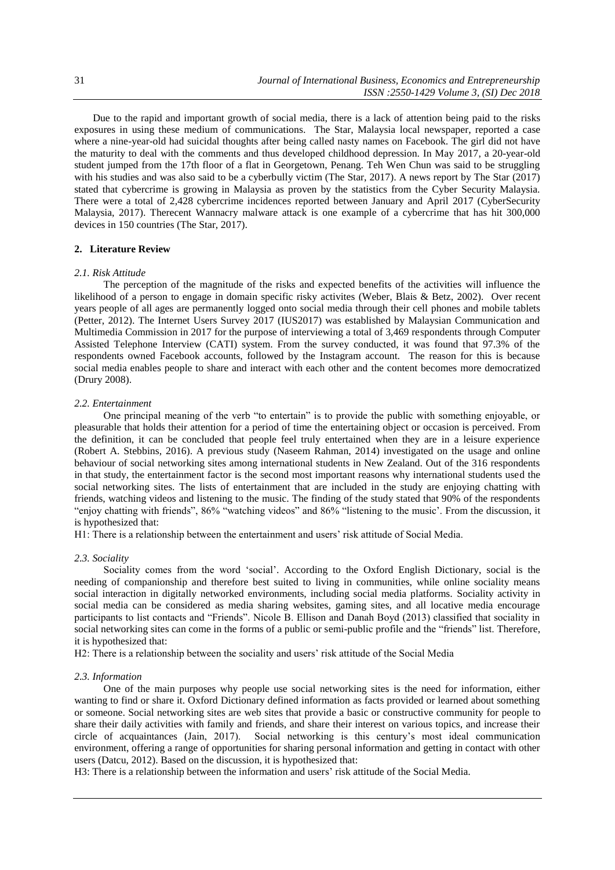Due to the rapid and important growth of social media, there is a lack of attention being paid to the risks exposures in using these medium of communications. The Star, Malaysia local newspaper, reported a case where a nine-year-old had suicidal thoughts after being called nasty names on Facebook. The girl did not have the maturity to deal with the comments and thus developed childhood depression. In May 2017, a 20-year-old student jumped from the 17th floor of a flat in Georgetown, Penang. Teh Wen Chun was said to be struggling with his studies and was also said to be a cyberbully victim (The Star, 2017). A news report by The Star (2017) stated that cybercrime is growing in Malaysia as proven by the statistics from the Cyber Security Malaysia. There were a total of 2,428 cybercrime incidences reported between January and April 2017 (CyberSecurity Malaysia, 2017). Therecent Wannacry malware attack is one example of a cybercrime that has hit 300,000 devices in 150 countries (The Star, 2017).

## **2. Literature Review**

#### *2.1. Risk Attitude*

The perception of the magnitude of the risks and expected benefits of the activities will influence the likelihood of a person to engage in domain specific risky activites (Weber, Blais & Betz, 2002). Over recent years people of all ages are permanently logged onto social media through their cell phones and mobile tablets (Petter, 2012). The Internet Users Survey 2017 (IUS2017) was established by Malaysian Communication and Multimedia Commission in 2017 for the purpose of interviewing a total of 3,469 respondents through Computer Assisted Telephone Interview (CATI) system. From the survey conducted, it was found that 97.3% of the respondents owned Facebook accounts, followed by the Instagram account. The reason for this is because social media enables people to share and interact with each other and the content becomes more democratized (Drury 2008).

#### *2.2. Entertainment*

One principal meaning of the verb "to entertain" is to provide the public with something enjoyable, or pleasurable that holds their attention for a period of time the entertaining object or occasion is perceived. From the definition, it can be concluded that people feel truly entertained when they are in a leisure experience (Robert A. Stebbins, 2016). A previous study (Naseem Rahman, 2014) investigated on the usage and online behaviour of social networking sites among international students in New Zealand. Out of the 316 respondents in that study, the entertainment factor is the second most important reasons why international students used the social networking sites. The lists of entertainment that are included in the study are enjoying chatting with friends, watching videos and listening to the music. The finding of the study stated that 90% of the respondents "enjoy chatting with friends", 86% "watching videos" and 86% "listening to the music'. From the discussion, it is hypothesized that:

H1: There is a relationship between the entertainment and users' risk attitude of Social Media.

#### *2.3. Sociality*

Sociality comes from the word 'social'. According to the Oxford English Dictionary, social is the needing of companionship and therefore best suited to living in communities, while online sociality means social interaction in digitally networked environments, including social media platforms. Sociality activity in social media can be considered as media sharing websites, gaming sites, and all locative media encourage participants to list contacts and "Friends". Nicole B. Ellison and Danah Boyd (2013) classified that sociality in social networking sites can come in the forms of a public or semi-public profile and the "friends" list. Therefore, it is hypothesized that:

H2: There is a relationship between the sociality and users' risk attitude of the Social Media

## *2.3. Information*

One of the main purposes why people use social networking sites is the need for information, either wanting to find or share it. Oxford Dictionary defined information as facts provided or learned about something or someone. Social networking sites are web sites that provide a basic or constructive community for people to share their daily activities with family and friends, and share their interest on various topics, and increase their circle of acquaintances (Jain, 2017). Social networking is this century's most ideal communication environment, offering a range of opportunities for sharing personal information and getting in contact with other users (Datcu, 2012). Based on the discussion, it is hypothesized that:

H3: There is a relationship between the information and users' risk attitude of the Social Media.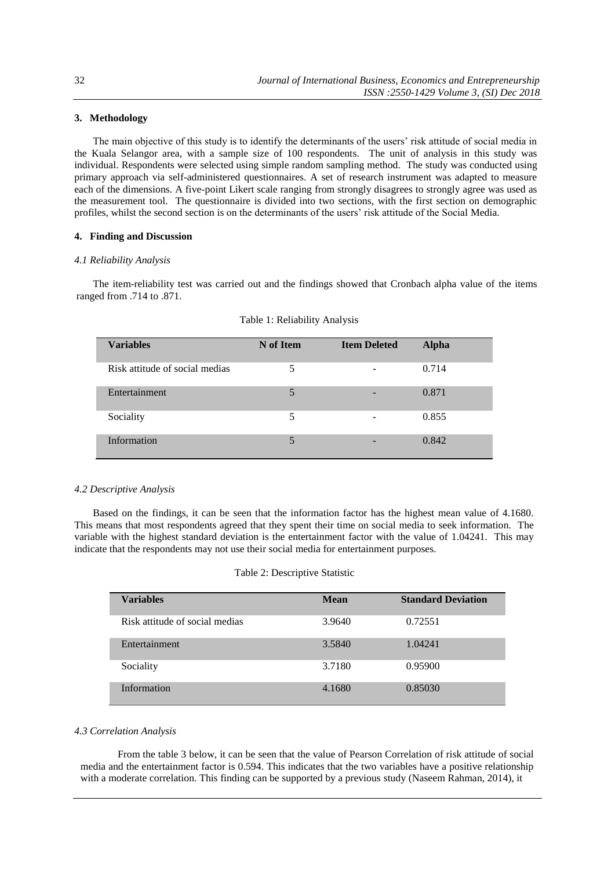## **3. Methodology**

The main objective of this study is to identify the determinants of the users' risk attitude of social media in the Kuala Selangor area, with a sample size of 100 respondents. The unit of analysis in this study was individual. Respondents were selected using simple random sampling method. The study was conducted using primary approach via self-administered questionnaires. A set of research instrument was adapted to measure each of the dimensions. A five-point Likert scale ranging from strongly disagrees to strongly agree was used as the measurement tool. The questionnaire is divided into two sections, with the first section on demographic profiles, whilst the second section is on the determinants of the users' risk attitude of the Social Media.

## **4. Finding and Discussion**

#### *4.1 Reliability Analysis*

The item-reliability test was carried out and the findings showed that Cronbach alpha value of the items ranged from .714 to .871.

| <b>Variables</b>               | N of Item | <b>Item Deleted</b> | <b>Alpha</b> |
|--------------------------------|-----------|---------------------|--------------|
|                                |           |                     |              |
| Risk attitude of social medias | 5         | ۰                   | 0.714        |
| Entertainment                  | 5         |                     | 0.871        |
| Sociality                      | 5         | $\qquad \qquad$     | 0.855        |
| Information                    | 5         | -                   | 0.842        |

| Table 1: Reliability Analysis |  |
|-------------------------------|--|
|-------------------------------|--|

#### *4.2 Descriptive Analysis*

Based on the findings, it can be seen that the information factor has the highest mean value of 4.1680. This means that most respondents agreed that they spent their time on social media to seek information. The variable with the highest standard deviation is the entertainment factor with the value of 1.04241. This may indicate that the respondents may not use their social media for entertainment purposes.

| Variables                      | Mean   | <b>Standard Deviation</b> |
|--------------------------------|--------|---------------------------|
| Risk attitude of social medias | 3.9640 | 0.72551                   |
| Entertainment                  | 3.5840 | 1.04241                   |
| Sociality                      | 3.7180 | 0.95900                   |
| Information                    | 4.1680 | 0.85030                   |

## *4.3 Correlation Analysis*

From the table 3 below, it can be seen that the value of Pearson Correlation of risk attitude of social media and the entertainment factor is 0.594. This indicates that the two variables have a positive relationship with a moderate correlation. This finding can be supported by a previous study (Naseem Rahman, 2014), it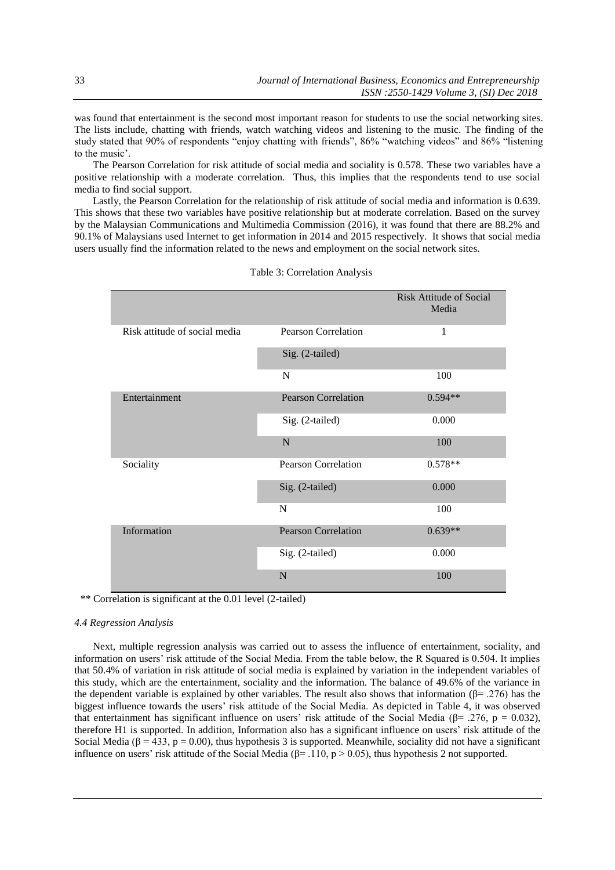was found that entertainment is the second most important reason for students to use the social networking sites. The lists include, chatting with friends, watch watching videos and listening to the music. The finding of the study stated that 90% of respondents "enjoy chatting with friends", 86% "watching videos" and 86% "listening to the music'.

The Pearson Correlation for risk attitude of social media and sociality is 0.578. These two variables have a positive relationship with a moderate correlation. Thus, this implies that the respondents tend to use social media to find social support.

Lastly, the Pearson Correlation for the relationship of risk attitude of social media and information is 0.639. This shows that these two variables have positive relationship but at moderate correlation. Based on the survey by the Malaysian Communications and Multimedia Commission (2016), it was found that there are 88.2% and 90.1% of Malaysians used Internet to get information in 2014 and 2015 respectively. It shows that social media users usually find the information related to the news and employment on the social network sites.

|                               |                            | <b>Risk Attitude of Social</b><br>Media |
|-------------------------------|----------------------------|-----------------------------------------|
| Risk attitude of social media | <b>Pearson Correlation</b> | 1                                       |
|                               | Sig. (2-tailed)            |                                         |
|                               | N                          | 100                                     |
| Entertainment                 | <b>Pearson Correlation</b> | $0.594**$                               |
|                               | Sig. (2-tailed)            | 0.000                                   |
|                               | $\mathbf N$                | 100                                     |
| Sociality                     | <b>Pearson Correlation</b> | $0.578**$                               |
|                               | Sig. (2-tailed)            | 0.000                                   |
|                               | N                          | 100                                     |
| Information                   | <b>Pearson Correlation</b> | $0.639**$                               |
|                               | Sig. (2-tailed)            | 0.000                                   |
|                               | $\mathbf N$                | 100                                     |

Table 3: Correlation Analysis

\*\* Correlation is significant at the 0.01 level (2-tailed)

#### *4.4 Regression Analysis*

Next, multiple regression analysis was carried out to assess the influence of entertainment, sociality, and information on users' risk attitude of the Social Media. From the table below, the R Squared is 0.504. It implies that 50.4% of variation in risk attitude of social media is explained by variation in the independent variables of this study, which are the entertainment, sociality and the information. The balance of 49.6% of the variance in the dependent variable is explained by other variables. The result also shows that information ( $\beta$ = .276) has the biggest influence towards the users' risk attitude of the Social Media. As depicted in Table 4, it was observed that entertainment has significant influence on users' risk attitude of the Social Media (β= .276, p = 0.032), therefore H1 is supported. In addition, Information also has a significant influence on users' risk attitude of the Social Media ( $\beta$  = 433, p = 0.00), thus hypothesis 3 is supported. Meanwhile, sociality did not have a significant influence on users' risk attitude of the Social Media ( $\beta$ = .110, p > 0.05), thus hypothesis 2 not supported.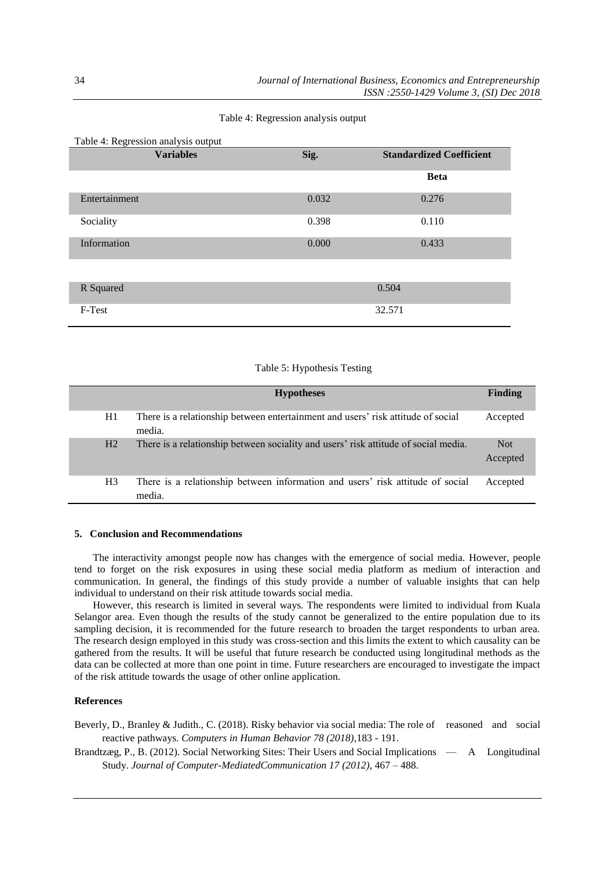| <b>Variables</b> | Sig.  | <b>Standardized Coefficient</b> |
|------------------|-------|---------------------------------|
|                  |       | <b>Beta</b>                     |
| Entertainment    | 0.032 | 0.276                           |
| Sociality        | 0.398 | 0.110                           |
| Information      | 0.000 | 0.433                           |
|                  |       |                                 |
| R Squared        |       | 0.504                           |
| F-Test           |       | 32.571                          |

# Table 4: Regression analysis output

## Table 5: Hypothesis Testing

|                | <b>Hypotheses</b>                                                                          | Finding                |
|----------------|--------------------------------------------------------------------------------------------|------------------------|
| H1             | There is a relationship between entertainment and users' risk attitude of social<br>media. | Accepted               |
| H <sub>2</sub> | There is a relationship between sociality and users' risk attitude of social media.        | <b>Not</b><br>Accepted |
| H <sub>3</sub> | There is a relationship between information and users' risk attitude of social<br>media.   | Accepted               |

## **5. Conclusion and Recommendations**

The interactivity amongst people now has changes with the emergence of social media. However, people tend to forget on the risk exposures in using these social media platform as medium of interaction and communication. In general, the findings of this study provide a number of valuable insights that can help individual to understand on their risk attitude towards social media.

However, this research is limited in several ways. The respondents were limited to individual from Kuala Selangor area. Even though the results of the study cannot be generalized to the entire population due to its sampling decision, it is recommended for the future research to broaden the target respondents to urban area. The research design employed in this study was cross-section and this limits the extent to which causality can be gathered from the results. It will be useful that future research be conducted using longitudinal methods as the data can be collected at more than one point in time. Future researchers are encouraged to investigate the impact of the risk attitude towards the usage of other online application.

## **References**

Beverly, D., Branley & Judith., C. (2018). Risky behavior via social media: The role of reasoned and social reactive pathways. *Computers in Human Behavior 78 (2018)*,183 - 191.

Brandtzæg, P., B. (2012). Social Networking Sites: Their Users and Social Implications — A Longitudinal Study. *Journal of Computer-MediatedCommunication 17 (2012)*, 467 – 488.